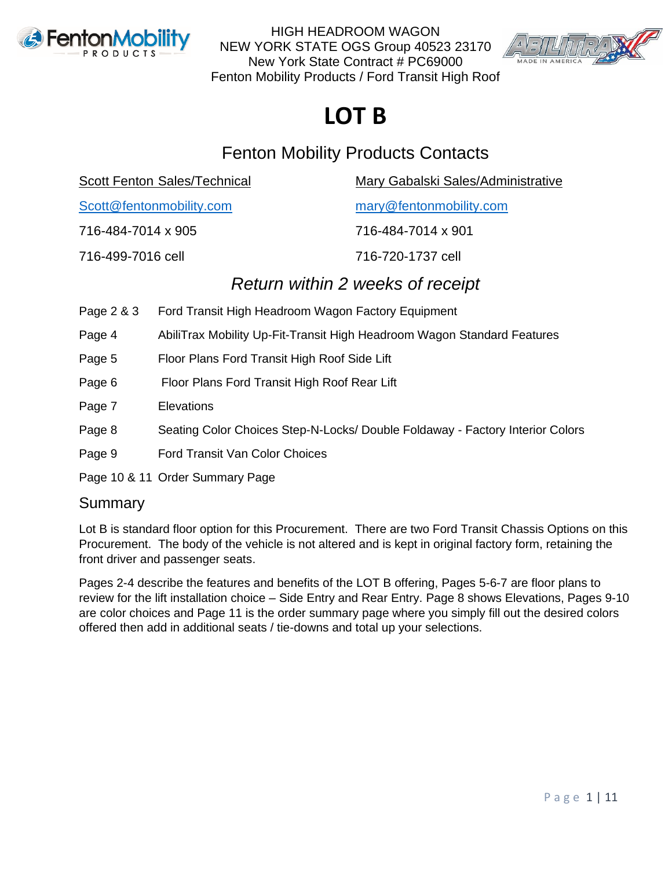



# **LOT B**

### Fenton Mobility Products Contacts

Scott Fenton Sales/Technical Mary Gabalski Sales/Administrative

[Scott@fentonmobility.com](mailto:Scott@fentonmobility.com) [mary@fentonmobility.com](mailto:mary@fentonmobility.com)

716-484-7014 x 905 716-484-7014 x 901

716-499-7016 cell 716-720-1737 cell

### *Return within 2 weeks of receipt*

- Page 2 & 3 Ford Transit High Headroom Wagon Factory Equipment
- Page 4 AbiliTrax Mobility Up-Fit-Transit High Headroom Wagon Standard Features
- Page 5 Floor Plans Ford Transit High Roof Side Lift
- Page 6 Floor Plans Ford Transit High Roof Rear Lift
- Page 7 Elevations
- Page 8 Seating Color Choices Step-N-Locks/ Double Foldaway Factory Interior Colors
- Page 9 Ford Transit Van Color Choices
- Page 10 & 11 Order Summary Page

### Summary

Lot B is standard floor option for this Procurement. There are two Ford Transit Chassis Options on this Procurement. The body of the vehicle is not altered and is kept in original factory form, retaining the front driver and passenger seats.

Pages 2-4 describe the features and benefits of the LOT B offering, Pages 5-6-7 are floor plans to review for the lift installation choice – Side Entry and Rear Entry. Page 8 shows Elevations, Pages 9-10 are color choices and Page 11 is the order summary page where you simply fill out the desired colors offered then add in additional seats / tie-downs and total up your selections.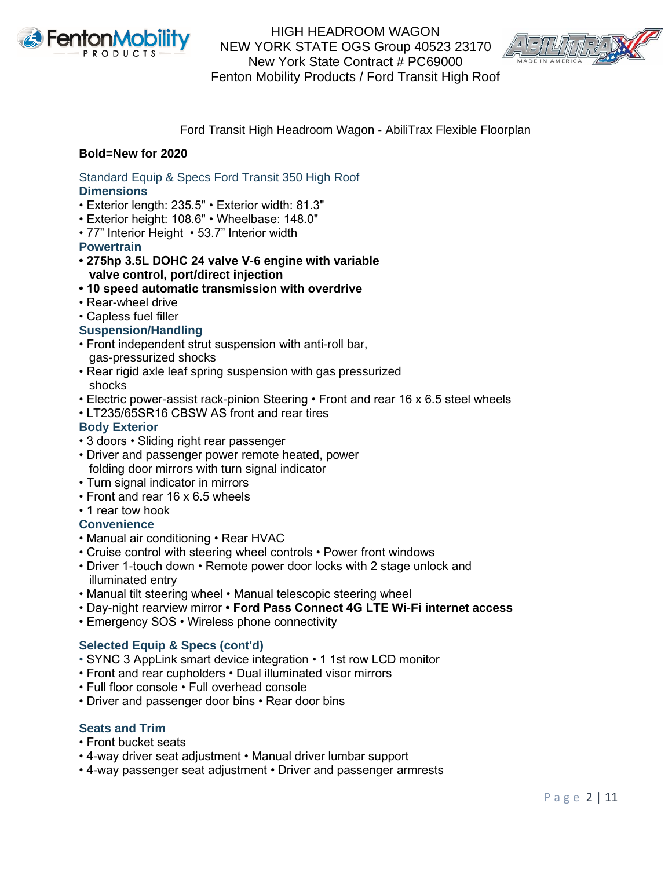



#### Ford Transit High Headroom Wagon - AbiliTrax Flexible Floorplan

#### **Bold=New for 2020**

Standard Equip & Specs Ford Transit 350 High Roof **Dimensions**

- Exterior length: 235.5" Exterior width: 81.3"
- Exterior height: 108.6" Wheelbase: 148.0"
- 77" Interior Height 53.7" Interior width

#### **Powertrain**

- **275hp 3.5L DOHC 24 valve V-6 engine with variable valve control, port/direct injection**
- **10 speed automatic transmission with overdrive**
- Rear-wheel drive
- Capless fuel filler

#### **Suspension/Handling**

- Front independent strut suspension with anti-roll bar, gas-pressurized shocks
- Rear rigid axle leaf spring suspension with gas pressurized shocks
- Electric power-assist rack-pinion Steering Front and rear 16 x 6.5 steel wheels
- LT235/65SR16 CBSW AS front and rear tires

#### **Body Exterior**

- 3 doors Sliding right rear passenger
- Driver and passenger power remote heated, power folding door mirrors with turn signal indicator
- Turn signal indicator in mirrors
- Front and rear 16 x 6.5 wheels
- 1 rear tow hook

#### **Convenience**

- Manual air conditioning Rear HVAC
- Cruise control with steering wheel controls Power front windows
- Driver 1-touch down Remote power door locks with 2 stage unlock and illuminated entry
- Manual tilt steering wheel Manual telescopic steering wheel
- Day-night rearview mirror  **Ford Pass Connect 4G LTE Wi-Fi internet access**
- Emergency SOS Wireless phone connectivity

#### **Selected Equip & Specs (cont'd)**

- SYNC 3 AppLink smart device integration 1 1st row LCD monitor
- Front and rear cupholders Dual illuminated visor mirrors
- Full floor console Full overhead console
- Driver and passenger door bins Rear door bins

#### **Seats and Trim**

- Front bucket seats
- 4-way driver seat adjustment Manual driver lumbar support
- 4-way passenger seat adjustment Driver and passenger armrests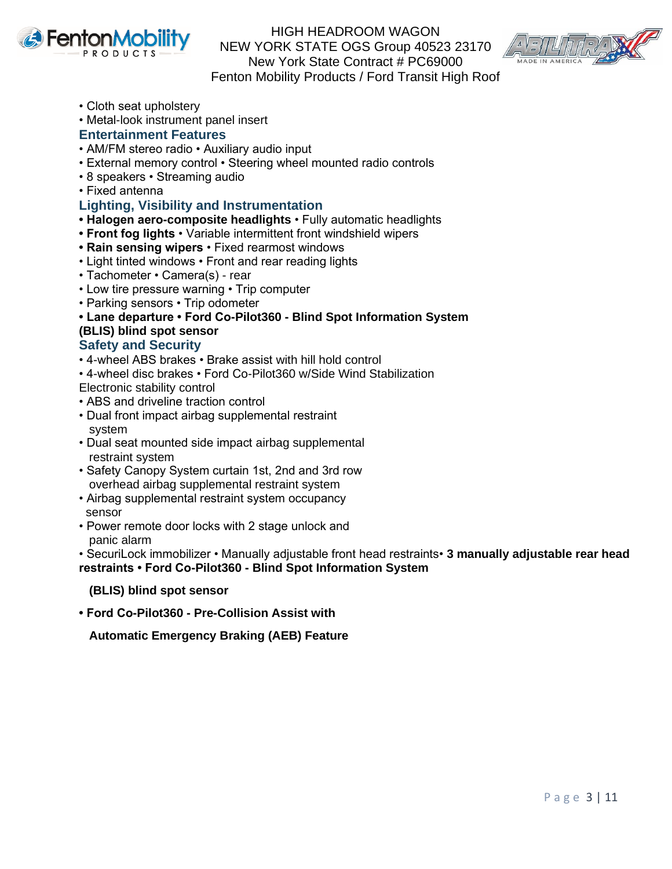



- Cloth seat upholstery
- Metal-look instrument panel insert

#### **Entertainment Features**

- AM/FM stereo radio Auxiliary audio input
- External memory control Steering wheel mounted radio controls
- 8 speakers Streaming audio
- Fixed antenna

#### **Lighting, Visibility and Instrumentation**

- **Halogen aero-composite headlights** Fully automatic headlights
- **Front fog lights** Variable intermittent front windshield wipers
- **Rain sensing wipers** Fixed rearmost windows
- Light tinted windows Front and rear reading lights
- Tachometer Camera(s) rear
- Low tire pressure warning Trip computer
- Parking sensors Trip odometer

**• Lane departure • Ford Co-Pilot360 - Blind Spot Information System (BLIS) blind spot sensor**

#### **Safety and Security**

- 4-wheel ABS brakes Brake assist with hill hold control
- 4-wheel disc brakes Ford Co-Pilot360 w/Side Wind Stabilization

Electronic stability control

- ABS and driveline traction control
- Dual front impact airbag supplemental restraint system
- Dual seat mounted side impact airbag supplemental restraint system
- Safety Canopy System curtain 1st, 2nd and 3rd row overhead airbag supplemental restraint system
- Airbag supplemental restraint system occupancy sensor
- Power remote door locks with 2 stage unlock and panic alarm

• SecuriLock immobilizer • Manually adjustable front head restraints• **3 manually adjustable rear head restraints • Ford Co-Pilot360 - Blind Spot Information System**

#### **(BLIS) blind spot sensor**

**• Ford Co-Pilot360 - Pre-Collision Assist with**

 **Automatic Emergency Braking (AEB) Feature**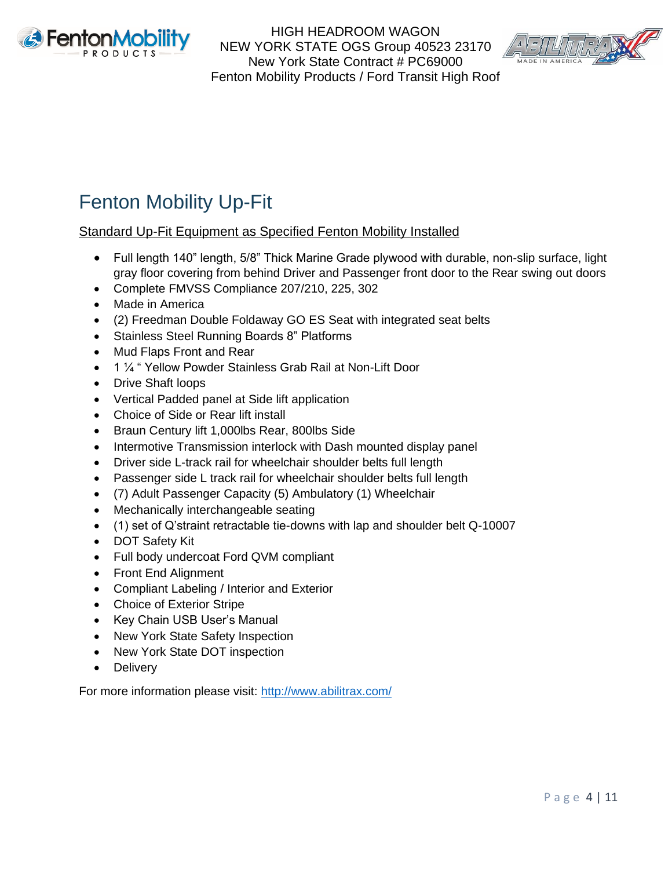



## Fenton Mobility Up-Fit

Standard Up-Fit Equipment as Specified Fenton Mobility Installed

- Full length 140" length, 5/8" Thick Marine Grade plywood with durable, non-slip surface, light gray floor covering from behind Driver and Passenger front door to the Rear swing out doors
- Complete FMVSS Compliance 207/210, 225, 302
- Made in America
- (2) Freedman Double Foldaway GO ES Seat with integrated seat belts
- Stainless Steel Running Boards 8" Platforms
- Mud Flaps Front and Rear
- 1 ¼ " Yellow Powder Stainless Grab Rail at Non-Lift Door
- Drive Shaft loops
- Vertical Padded panel at Side lift application
- Choice of Side or Rear lift install
- Braun Century lift 1,000lbs Rear, 800lbs Side
- Intermotive Transmission interlock with Dash mounted display panel
- Driver side L-track rail for wheelchair shoulder belts full length
- Passenger side L track rail for wheelchair shoulder belts full length
- (7) Adult Passenger Capacity (5) Ambulatory (1) Wheelchair
- Mechanically interchangeable seating
- (1) set of Q'straint retractable tie-downs with lap and shoulder belt Q-10007
- DOT Safety Kit
- Full body undercoat Ford QVM compliant
- Front End Alignment
- Compliant Labeling / Interior and Exterior
- **Choice of Exterior Stripe**
- Key Chain USB User's Manual
- New York State Safety Inspection
- New York State DOT inspection
- Delivery

For more information please visit:<http://www.abilitrax.com/>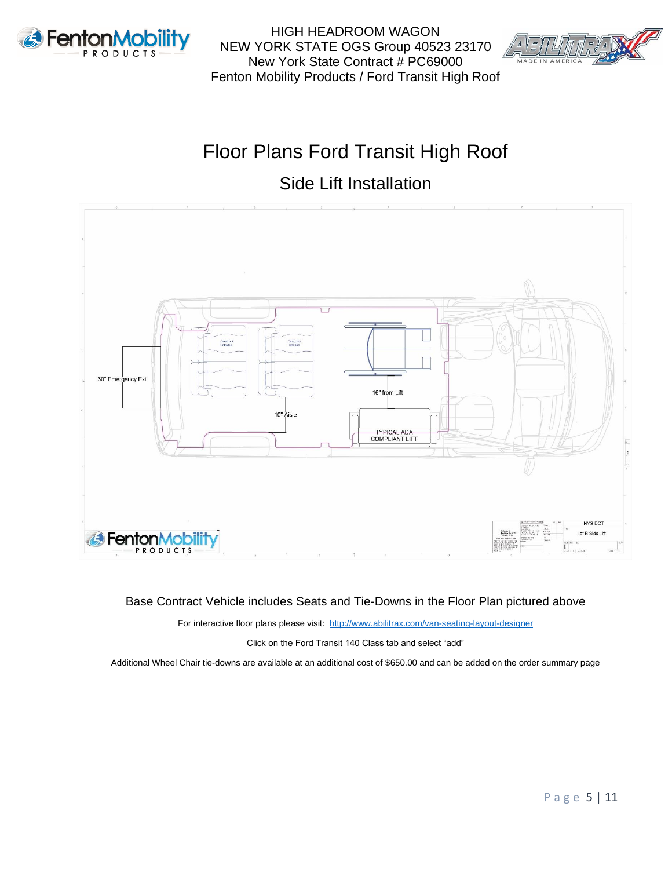



## Floor Plans Ford Transit High Roof

### Side Lift Installation



#### Base Contract Vehicle includes Seats and Tie-Downs in the Floor Plan pictured above

For interactive floor plans please visit:<http://www.abilitrax.com/van-seating-layout-designer>

Click on the Ford Transit 140 Class tab and select "add"

Additional Wheel Chair tie-downs are available at an additional cost of \$650.00 and can be added on the order summary page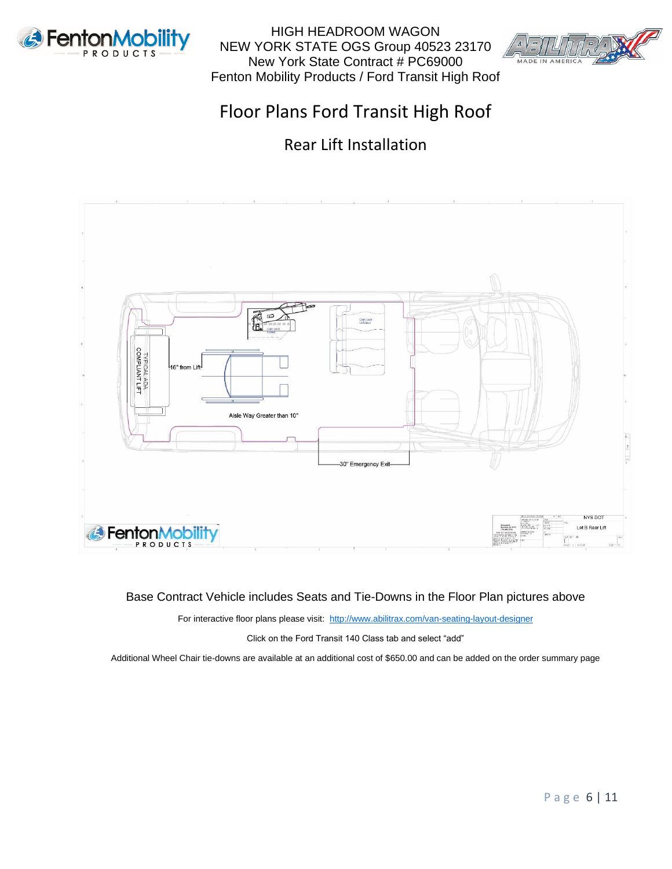



### Floor Plans Ford Transit High Roof

Rear Lift Installation



#### Base Contract Vehicle includes Seats and Tie-Downs in the Floor Plan pictures above

For interactive floor plans please visit:<http://www.abilitrax.com/van-seating-layout-designer>

Click on the Ford Transit 140 Class tab and select "add"

Additional Wheel Chair tie-downs are available at an additional cost of \$650.00 and can be added on the order summary page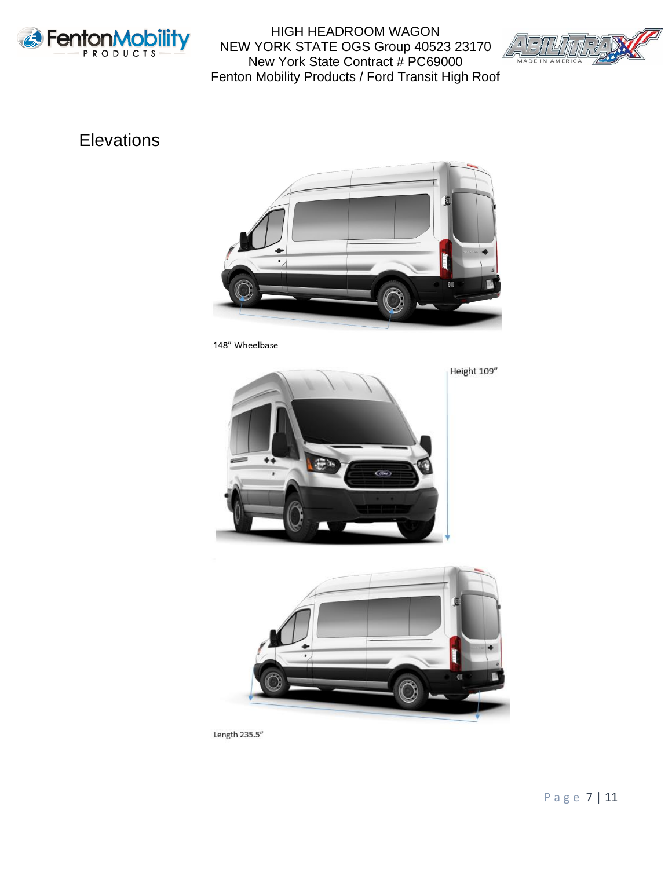



### **Elevations**



148" Wheelbase





Length 235.5"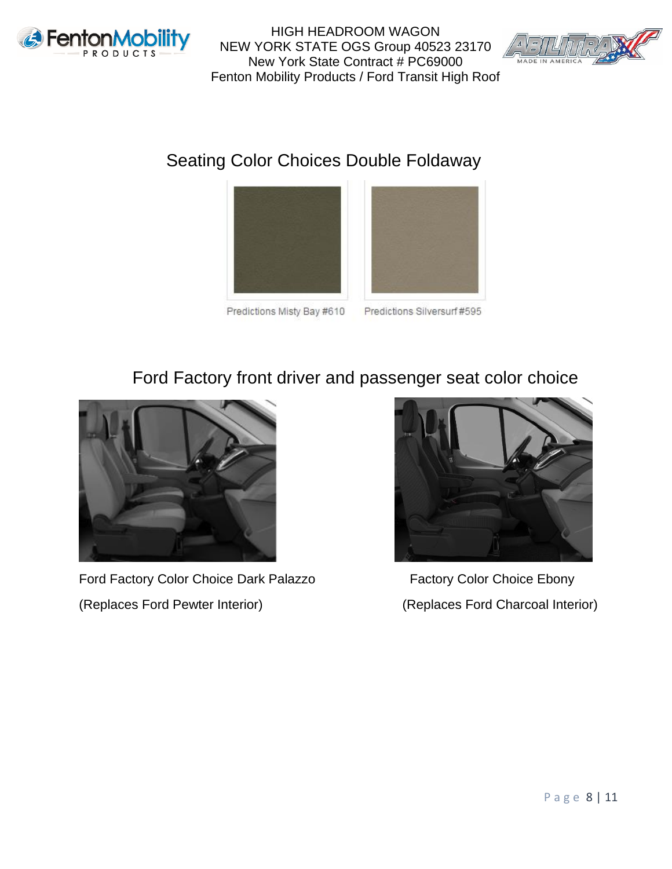



### Seating Color Choices Double Foldaway





Predictions Misty Bay #610

Predictions Silversurf #595

### Ford Factory front driver and passenger seat color choice



Ford Factory Color Choice Dark Palazzo Factory Color Choice Ebony (Replaces Ford Pewter Interior) (Replaces Ford Charcoal Interior)

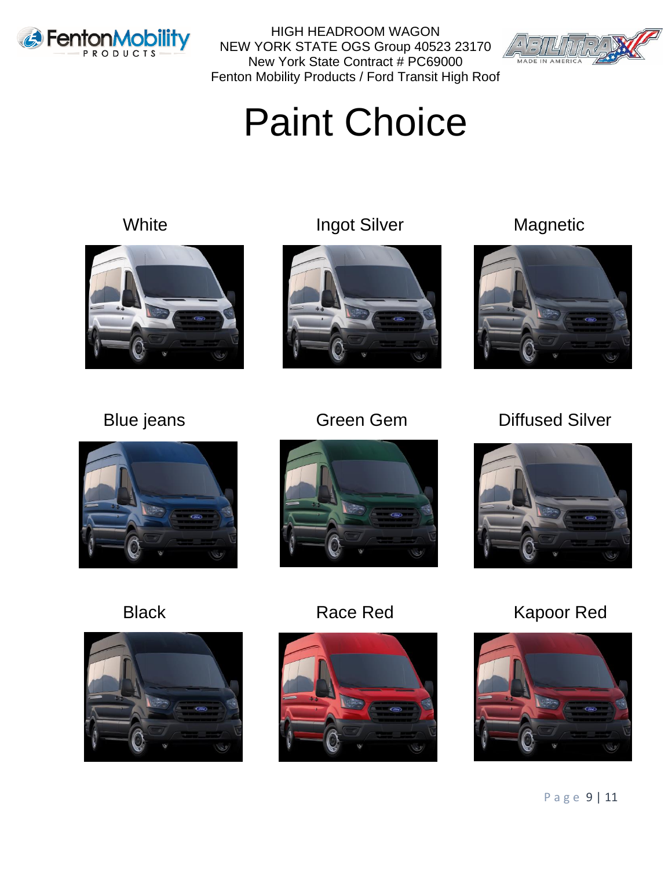



Paint Choice





White **Ingot Silver** Magnetic













Black Race Red Kapoor Red

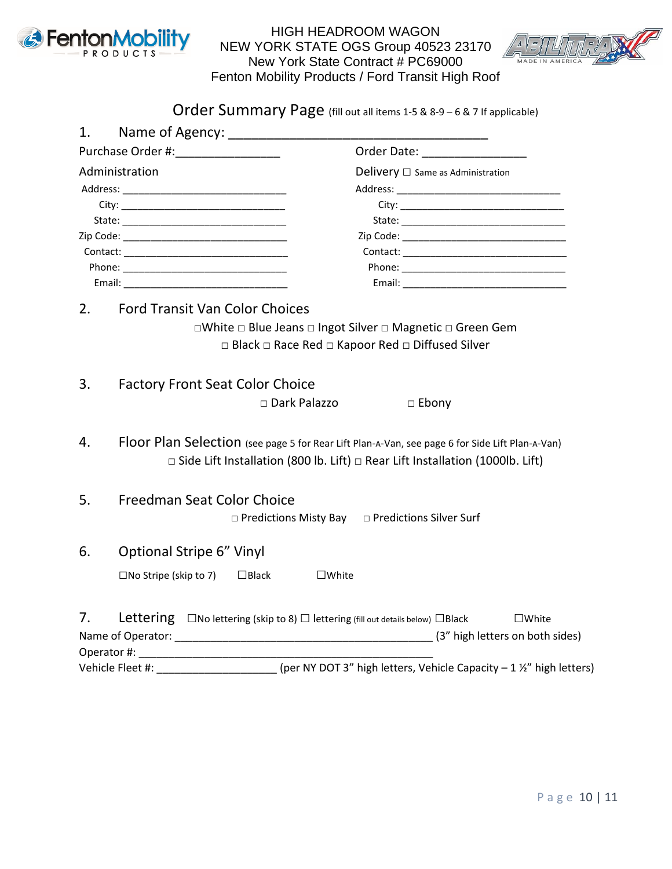



Order Summary Page (fill out all items 1-5 & 8-9 - 6 & 7 If applicable)

| 1.               | Name of Agency: _________________                                                                                                                                                                                              |                                                                                                                                                                                                                                |
|------------------|--------------------------------------------------------------------------------------------------------------------------------------------------------------------------------------------------------------------------------|--------------------------------------------------------------------------------------------------------------------------------------------------------------------------------------------------------------------------------|
|                  | Purchase Order #: Note that the set of the set of the set of the set of the set of the set of the set of the s                                                                                                                 | Order Date: _________________                                                                                                                                                                                                  |
| Administration   |                                                                                                                                                                                                                                | Delivery $\Box$ Same as Administration                                                                                                                                                                                         |
|                  |                                                                                                                                                                                                                                |                                                                                                                                                                                                                                |
|                  | City: the contract of the contract of the contract of the contract of the contract of the contract of the contract of the contract of the contract of the contract of the contract of the contract of the contract of the cont | City: the contract of the contract of the contract of the contract of the contract of the contract of the contract of the contract of the contract of the contract of the contract of the contract of the contract of the cont |
|                  | State: the contract of the contract of the contract of the contract of the contract of the contract of the contract of the contract of the contract of the contract of the contract of the contract of the contract of the con | State: the contract of the contract of the contract of the contract of the contract of the contract of the contract of the contract of the contract of the contract of the contract of the contract of the contract of the con |
|                  |                                                                                                                                                                                                                                |                                                                                                                                                                                                                                |
|                  |                                                                                                                                                                                                                                |                                                                                                                                                                                                                                |
|                  |                                                                                                                                                                                                                                |                                                                                                                                                                                                                                |
|                  |                                                                                                                                                                                                                                |                                                                                                                                                                                                                                |
| 2.               | <b>Ford Transit Van Color Choices</b>                                                                                                                                                                                          |                                                                                                                                                                                                                                |
|                  |                                                                                                                                                                                                                                | □White □ Blue Jeans □ Ingot Silver □ Magnetic □ Green Gem                                                                                                                                                                      |
|                  |                                                                                                                                                                                                                                | □ Black □ Race Red □ Kapoor Red □ Diffused Silver                                                                                                                                                                              |
|                  |                                                                                                                                                                                                                                |                                                                                                                                                                                                                                |
| 3.               | <b>Factory Front Seat Color Choice</b>                                                                                                                                                                                         |                                                                                                                                                                                                                                |
|                  | □ Dark Palazzo                                                                                                                                                                                                                 | $\Box$ Ebony                                                                                                                                                                                                                   |
|                  |                                                                                                                                                                                                                                |                                                                                                                                                                                                                                |
| 4.               | Floor Plan Selection (see page 5 for Rear Lift Plan-A-Van, see page 6 for Side Lift Plan-A-Van)                                                                                                                                |                                                                                                                                                                                                                                |
|                  |                                                                                                                                                                                                                                | $\Box$ Side Lift Installation (800 lb. Lift) $\Box$ Rear Lift Installation (1000lb. Lift)                                                                                                                                      |
|                  |                                                                                                                                                                                                                                |                                                                                                                                                                                                                                |
| 5.               | Freedman Seat Color Choice                                                                                                                                                                                                     |                                                                                                                                                                                                                                |
|                  |                                                                                                                                                                                                                                |                                                                                                                                                                                                                                |
|                  |                                                                                                                                                                                                                                | □ Predictions Misty Bay □ Predictions Silver Surf                                                                                                                                                                              |
| 6.               | <b>Optional Stripe 6" Vinyl</b>                                                                                                                                                                                                |                                                                                                                                                                                                                                |
|                  |                                                                                                                                                                                                                                |                                                                                                                                                                                                                                |
|                  | $\square$ No Stripe (skip to 7)<br>$\square$ Black<br>$\square$ White                                                                                                                                                          |                                                                                                                                                                                                                                |
|                  |                                                                                                                                                                                                                                |                                                                                                                                                                                                                                |
| 7.               | Lettering $\Box$ No lettering (skip to 8) $\Box$ lettering (fill out details below) $\Box$ Black                                                                                                                               | $\square$ White                                                                                                                                                                                                                |
|                  |                                                                                                                                                                                                                                |                                                                                                                                                                                                                                |
|                  |                                                                                                                                                                                                                                |                                                                                                                                                                                                                                |
| Vehicle Fleet #: |                                                                                                                                                                                                                                | (per NY DOT 3" high letters, Vehicle Capacity - 1 1/2" high letters)                                                                                                                                                           |